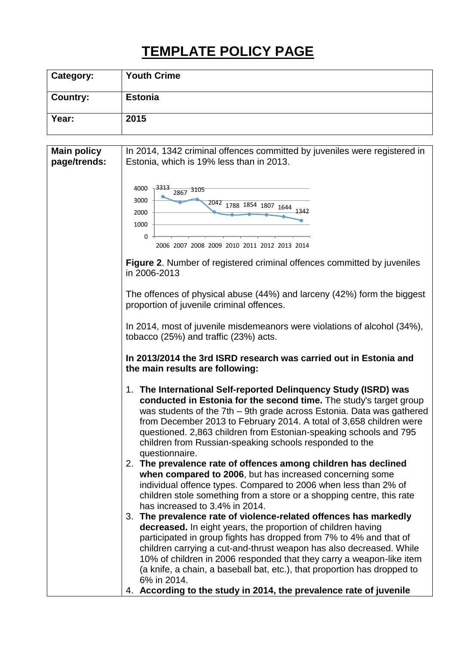## **TEMPLATE POLICY PAGE**

| <b>Category:</b> | <b>Youth Crime</b> |
|------------------|--------------------|
| <b>Country:</b>  | <b>Estonia</b>     |
| Year:            | 2015               |

| <b>Main policy</b><br>page/trends: | In 2014, 1342 criminal offences committed by juveniles were registered in<br>Estonia, which is 19% less than in 2013.                                                                                                                                                                                                                                                                                                                   |
|------------------------------------|-----------------------------------------------------------------------------------------------------------------------------------------------------------------------------------------------------------------------------------------------------------------------------------------------------------------------------------------------------------------------------------------------------------------------------------------|
|                                    |                                                                                                                                                                                                                                                                                                                                                                                                                                         |
|                                    | .3313<br>4000                                                                                                                                                                                                                                                                                                                                                                                                                           |
|                                    | 2867 3105                                                                                                                                                                                                                                                                                                                                                                                                                               |
|                                    | 3000<br>2042 1788 1854 1807 1644 1342                                                                                                                                                                                                                                                                                                                                                                                                   |
|                                    | 2000                                                                                                                                                                                                                                                                                                                                                                                                                                    |
|                                    | 1000                                                                                                                                                                                                                                                                                                                                                                                                                                    |
|                                    | 0<br>2006 2007 2008 2009 2010 2011 2012 2013 2014                                                                                                                                                                                                                                                                                                                                                                                       |
|                                    | <b>Figure 2.</b> Number of registered criminal offences committed by juveniles<br>in 2006-2013                                                                                                                                                                                                                                                                                                                                          |
|                                    | The offences of physical abuse (44%) and larceny (42%) form the biggest<br>proportion of juvenile criminal offences.                                                                                                                                                                                                                                                                                                                    |
|                                    | In 2014, most of juvenile misdemeanors were violations of alcohol (34%),<br>tobacco (25%) and traffic (23%) acts.                                                                                                                                                                                                                                                                                                                       |
|                                    | In 2013/2014 the 3rd ISRD research was carried out in Estonia and<br>the main results are following:                                                                                                                                                                                                                                                                                                                                    |
|                                    | 1. The International Self-reported Delinquency Study (ISRD) was<br>conducted in Estonia for the second time. The study's target group<br>was students of the 7th - 9th grade across Estonia. Data was gathered<br>from December 2013 to February 2014. A total of 3,658 children were<br>questioned. 2,863 children from Estonian-speaking schools and 795<br>children from Russian-speaking schools responded to the<br>questionnaire. |
|                                    | 2. The prevalence rate of offences among children has declined<br>when compared to 2006, but has increased concerning some<br>individual offence types. Compared to 2006 when less than 2% of<br>children stole something from a store or a shopping centre, this rate<br>has increased to 3.4% in 2014.                                                                                                                                |
|                                    | 3. The prevalence rate of violence-related offences has markedly                                                                                                                                                                                                                                                                                                                                                                        |
|                                    | decreased. In eight years, the proportion of children having                                                                                                                                                                                                                                                                                                                                                                            |
|                                    | participated in group fights has dropped from 7% to 4% and that of                                                                                                                                                                                                                                                                                                                                                                      |
|                                    | children carrying a cut-and-thrust weapon has also decreased. While                                                                                                                                                                                                                                                                                                                                                                     |
|                                    | 10% of children in 2006 responded that they carry a weapon-like item                                                                                                                                                                                                                                                                                                                                                                    |
|                                    | (a knife, a chain, a baseball bat, etc.), that proportion has dropped to                                                                                                                                                                                                                                                                                                                                                                |
|                                    | 6% in 2014.                                                                                                                                                                                                                                                                                                                                                                                                                             |
|                                    | 4. According to the study in 2014, the prevalence rate of juvenile                                                                                                                                                                                                                                                                                                                                                                      |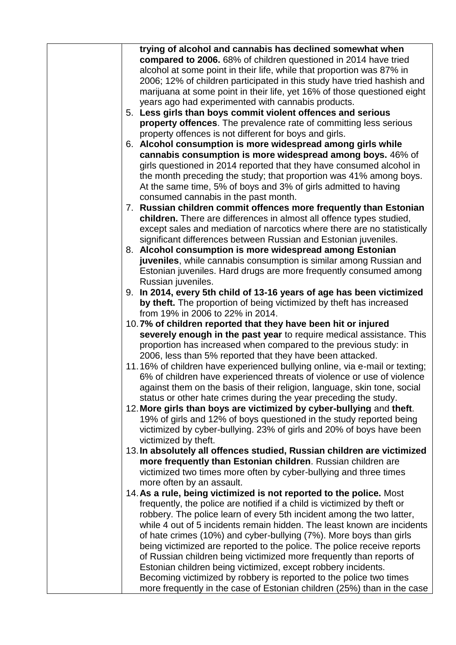| trying of alcohol and cannabis has declined somewhat when<br>compared to 2006. 68% of children questioned in 2014 have tried<br>alcohol at some point in their life, while that proportion was 87% in<br>2006; 12% of children participated in this study have tried hashish and<br>marijuana at some point in their life, yet 16% of those questioned eight<br>years ago had experimented with cannabis products.<br>5. Less girls than boys commit violent offences and serious<br>property offences. The prevalence rate of committing less serious<br>property offences is not different for boys and girls.<br>6. Alcohol consumption is more widespread among girls while<br>cannabis consumption is more widespread among boys. 46% of<br>girls questioned in 2014 reported that they have consumed alcohol in<br>the month preceding the study; that proportion was 41% among boys.<br>At the same time, 5% of boys and 3% of girls admitted to having<br>consumed cannabis in the past month.<br>7. Russian children commit offences more frequently than Estonian<br>children. There are differences in almost all offence types studied,<br>except sales and mediation of narcotics where there are no statistically<br>significant differences between Russian and Estonian juveniles.<br>8. Alcohol consumption is more widespread among Estonian<br>juveniles, while cannabis consumption is similar among Russian and<br>Estonian juveniles. Hard drugs are more frequently consumed among<br>Russian juveniles.<br>9. In 2014, every 5th child of 13-16 years of age has been victimized<br>by theft. The proportion of being victimized by theft has increased<br>from 19% in 2006 to 22% in 2014.<br>10.7% of children reported that they have been hit or injured<br>severely enough in the past year to require medical assistance. This<br>proportion has increased when compared to the previous study: in<br>2006, less than 5% reported that they have been attacked.<br>11.16% of children have experienced bullying online, via e-mail or texting;<br>6% of children have experienced threats of violence or use of violence<br>against them on the basis of their religion, language, skin tone, social<br>status or other hate crimes during the year preceding the study.<br>12. More girls than boys are victimized by cyber-bullying and theft.<br>19% of girls and 12% of boys questioned in the study reported being<br>victimized by cyber-bullying. 23% of girls and 20% of boys have been<br>victimized by theft.<br>13. In absolutely all offences studied, Russian children are victimized<br>more frequently than Estonian children. Russian children are<br>victimized two times more often by cyber-bullying and three times<br>more often by an assault.<br>14. As a rule, being victimized is not reported to the police. Most<br>frequently, the police are notified if a child is victimized by theft or<br>robbery. The police learn of every 5th incident among the two latter,<br>while 4 out of 5 incidents remain hidden. The least known are incidents<br>of hate crimes (10%) and cyber-bullying (7%). More boys than girls<br>being victimized are reported to the police. The police receive reports<br>of Russian children being victimized more frequently than reports of<br>Estonian children being victimized, except robbery incidents.<br>Becoming victimized by robbery is reported to the police two times<br>more frequently in the case of Estonian children (25%) than in the case |  |
|------------------------------------------------------------------------------------------------------------------------------------------------------------------------------------------------------------------------------------------------------------------------------------------------------------------------------------------------------------------------------------------------------------------------------------------------------------------------------------------------------------------------------------------------------------------------------------------------------------------------------------------------------------------------------------------------------------------------------------------------------------------------------------------------------------------------------------------------------------------------------------------------------------------------------------------------------------------------------------------------------------------------------------------------------------------------------------------------------------------------------------------------------------------------------------------------------------------------------------------------------------------------------------------------------------------------------------------------------------------------------------------------------------------------------------------------------------------------------------------------------------------------------------------------------------------------------------------------------------------------------------------------------------------------------------------------------------------------------------------------------------------------------------------------------------------------------------------------------------------------------------------------------------------------------------------------------------------------------------------------------------------------------------------------------------------------------------------------------------------------------------------------------------------------------------------------------------------------------------------------------------------------------------------------------------------------------------------------------------------------------------------------------------------------------------------------------------------------------------------------------------------------------------------------------------------------------------------------------------------------------------------------------------------------------------------------------------------------------------------------------------------------------------------------------------------------------------------------------------------------------------------------------------------------------------------------------------------------------------------------------------------------------------------------------------------------------------------------------------------------------------------------------------------------------------------------------------------------------------------------------------------------------------------------------------------------------------------------------------------------------------------------------------------------------------------------------------------------------------------------------------------------------------------------------|--|
|                                                                                                                                                                                                                                                                                                                                                                                                                                                                                                                                                                                                                                                                                                                                                                                                                                                                                                                                                                                                                                                                                                                                                                                                                                                                                                                                                                                                                                                                                                                                                                                                                                                                                                                                                                                                                                                                                                                                                                                                                                                                                                                                                                                                                                                                                                                                                                                                                                                                                                                                                                                                                                                                                                                                                                                                                                                                                                                                                                                                                                                                                                                                                                                                                                                                                                                                                                                                                                                                                                                                                      |  |
|                                                                                                                                                                                                                                                                                                                                                                                                                                                                                                                                                                                                                                                                                                                                                                                                                                                                                                                                                                                                                                                                                                                                                                                                                                                                                                                                                                                                                                                                                                                                                                                                                                                                                                                                                                                                                                                                                                                                                                                                                                                                                                                                                                                                                                                                                                                                                                                                                                                                                                                                                                                                                                                                                                                                                                                                                                                                                                                                                                                                                                                                                                                                                                                                                                                                                                                                                                                                                                                                                                                                                      |  |
|                                                                                                                                                                                                                                                                                                                                                                                                                                                                                                                                                                                                                                                                                                                                                                                                                                                                                                                                                                                                                                                                                                                                                                                                                                                                                                                                                                                                                                                                                                                                                                                                                                                                                                                                                                                                                                                                                                                                                                                                                                                                                                                                                                                                                                                                                                                                                                                                                                                                                                                                                                                                                                                                                                                                                                                                                                                                                                                                                                                                                                                                                                                                                                                                                                                                                                                                                                                                                                                                                                                                                      |  |
|                                                                                                                                                                                                                                                                                                                                                                                                                                                                                                                                                                                                                                                                                                                                                                                                                                                                                                                                                                                                                                                                                                                                                                                                                                                                                                                                                                                                                                                                                                                                                                                                                                                                                                                                                                                                                                                                                                                                                                                                                                                                                                                                                                                                                                                                                                                                                                                                                                                                                                                                                                                                                                                                                                                                                                                                                                                                                                                                                                                                                                                                                                                                                                                                                                                                                                                                                                                                                                                                                                                                                      |  |
|                                                                                                                                                                                                                                                                                                                                                                                                                                                                                                                                                                                                                                                                                                                                                                                                                                                                                                                                                                                                                                                                                                                                                                                                                                                                                                                                                                                                                                                                                                                                                                                                                                                                                                                                                                                                                                                                                                                                                                                                                                                                                                                                                                                                                                                                                                                                                                                                                                                                                                                                                                                                                                                                                                                                                                                                                                                                                                                                                                                                                                                                                                                                                                                                                                                                                                                                                                                                                                                                                                                                                      |  |
|                                                                                                                                                                                                                                                                                                                                                                                                                                                                                                                                                                                                                                                                                                                                                                                                                                                                                                                                                                                                                                                                                                                                                                                                                                                                                                                                                                                                                                                                                                                                                                                                                                                                                                                                                                                                                                                                                                                                                                                                                                                                                                                                                                                                                                                                                                                                                                                                                                                                                                                                                                                                                                                                                                                                                                                                                                                                                                                                                                                                                                                                                                                                                                                                                                                                                                                                                                                                                                                                                                                                                      |  |
|                                                                                                                                                                                                                                                                                                                                                                                                                                                                                                                                                                                                                                                                                                                                                                                                                                                                                                                                                                                                                                                                                                                                                                                                                                                                                                                                                                                                                                                                                                                                                                                                                                                                                                                                                                                                                                                                                                                                                                                                                                                                                                                                                                                                                                                                                                                                                                                                                                                                                                                                                                                                                                                                                                                                                                                                                                                                                                                                                                                                                                                                                                                                                                                                                                                                                                                                                                                                                                                                                                                                                      |  |
|                                                                                                                                                                                                                                                                                                                                                                                                                                                                                                                                                                                                                                                                                                                                                                                                                                                                                                                                                                                                                                                                                                                                                                                                                                                                                                                                                                                                                                                                                                                                                                                                                                                                                                                                                                                                                                                                                                                                                                                                                                                                                                                                                                                                                                                                                                                                                                                                                                                                                                                                                                                                                                                                                                                                                                                                                                                                                                                                                                                                                                                                                                                                                                                                                                                                                                                                                                                                                                                                                                                                                      |  |
|                                                                                                                                                                                                                                                                                                                                                                                                                                                                                                                                                                                                                                                                                                                                                                                                                                                                                                                                                                                                                                                                                                                                                                                                                                                                                                                                                                                                                                                                                                                                                                                                                                                                                                                                                                                                                                                                                                                                                                                                                                                                                                                                                                                                                                                                                                                                                                                                                                                                                                                                                                                                                                                                                                                                                                                                                                                                                                                                                                                                                                                                                                                                                                                                                                                                                                                                                                                                                                                                                                                                                      |  |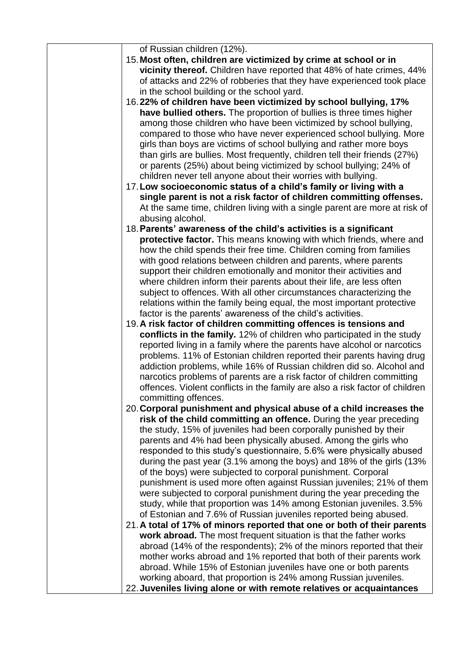| of Russian children (12%).                                                                                                                        |
|---------------------------------------------------------------------------------------------------------------------------------------------------|
| 15. Most often, children are victimized by crime at school or in                                                                                  |
| vicinity thereof. Children have reported that 48% of hate crimes, 44%                                                                             |
| of attacks and 22% of robberies that they have experienced took place                                                                             |
| in the school building or the school yard.                                                                                                        |
| 16.22% of children have been victimized by school bullying, 17%                                                                                   |
| have bullied others. The proportion of bullies is three times higher                                                                              |
| among those children who have been victimized by school bullying,                                                                                 |
| compared to those who have never experienced school bullying. More                                                                                |
| girls than boys are victims of school bullying and rather more boys                                                                               |
| than girls are bullies. Most frequently, children tell their friends (27%)                                                                        |
| or parents (25%) about being victimized by school bullying; 24% of                                                                                |
| children never tell anyone about their worries with bullying.                                                                                     |
| 17. Low socioeconomic status of a child's family or living with a                                                                                 |
| single parent is not a risk factor of children committing offenses.                                                                               |
| At the same time, children living with a single parent are more at risk of                                                                        |
| abusing alcohol.                                                                                                                                  |
| 18. Parents' awareness of the child's activities is a significant                                                                                 |
| protective factor. This means knowing with which friends, where and                                                                               |
| how the child spends their free time. Children coming from families                                                                               |
| with good relations between children and parents, where parents                                                                                   |
| support their children emotionally and monitor their activities and                                                                               |
| where children inform their parents about their life, are less often                                                                              |
| subject to offences. With all other circumstances characterizing the                                                                              |
| relations within the family being equal, the most important protective                                                                            |
| factor is the parents' awareness of the child's activities.                                                                                       |
| 19. A risk factor of children committing offences is tensions and                                                                                 |
| conflicts in the family. 12% of children who participated in the study<br>reported living in a family where the parents have alcohol or narcotics |
| problems. 11% of Estonian children reported their parents having drug                                                                             |
| addiction problems, while 16% of Russian children did so. Alcohol and                                                                             |
| narcotics problems of parents are a risk factor of children committing                                                                            |
| offences. Violent conflicts in the family are also a risk factor of children                                                                      |
| committing offences.                                                                                                                              |
| 20. Corporal punishment and physical abuse of a child increases the                                                                               |
| risk of the child committing an offence. During the year preceding                                                                                |
| the study, 15% of juveniles had been corporally punished by their                                                                                 |
| parents and 4% had been physically abused. Among the girls who                                                                                    |
| responded to this study's questionnaire, 5.6% were physically abused                                                                              |
| during the past year (3.1% among the boys) and 18% of the girls (13%                                                                              |
| of the boys) were subjected to corporal punishment. Corporal                                                                                      |
| punishment is used more often against Russian juveniles; 21% of them                                                                              |
| were subjected to corporal punishment during the year preceding the                                                                               |
| study, while that proportion was 14% among Estonian juveniles. 3.5%                                                                               |
| of Estonian and 7.6% of Russian juveniles reported being abused.                                                                                  |
| 21. A total of 17% of minors reported that one or both of their parents                                                                           |
| work abroad. The most frequent situation is that the father works                                                                                 |
| abroad (14% of the respondents); 2% of the minors reported that their                                                                             |
| mother works abroad and 1% reported that both of their parents work                                                                               |
| abroad. While 15% of Estonian juveniles have one or both parents                                                                                  |
| working aboard, that proportion is 24% among Russian juveniles.                                                                                   |
| 22. Juveniles living alone or with remote relatives or acquaintances                                                                              |
|                                                                                                                                                   |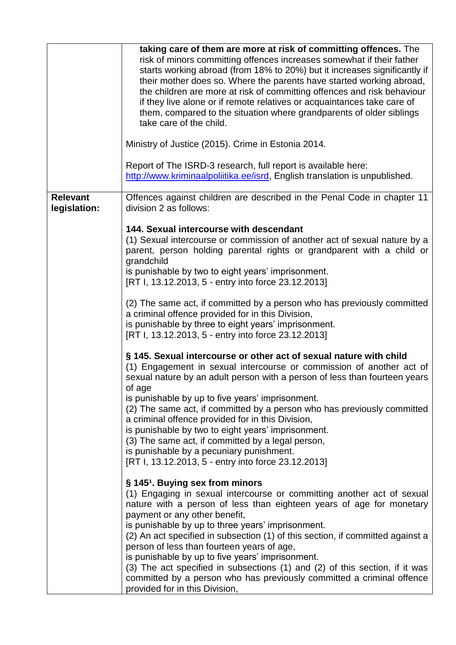|                 | taking care of them are more at risk of committing offences. The<br>risk of minors committing offences increases somewhat if their father<br>starts working abroad (from 18% to 20%) but it increases significantly if<br>their mother does so. Where the parents have started working abroad,<br>the children are more at risk of committing offences and risk behaviour<br>if they live alone or if remote relatives or acquaintances take care of<br>them, compared to the situation where grandparents of older siblings<br>take care of the child.<br>Ministry of Justice (2015). Crime in Estonia 2014.<br>Report of The ISRD-3 research, full report is available here:<br>http://www.kriminaalpoliitika.ee/isrd, English translation is unpublished. |
|-----------------|--------------------------------------------------------------------------------------------------------------------------------------------------------------------------------------------------------------------------------------------------------------------------------------------------------------------------------------------------------------------------------------------------------------------------------------------------------------------------------------------------------------------------------------------------------------------------------------------------------------------------------------------------------------------------------------------------------------------------------------------------------------|
| <b>Relevant</b> | Offences against children are described in the Penal Code in chapter 11                                                                                                                                                                                                                                                                                                                                                                                                                                                                                                                                                                                                                                                                                      |
| legislation:    | division 2 as follows:                                                                                                                                                                                                                                                                                                                                                                                                                                                                                                                                                                                                                                                                                                                                       |
|                 | 144. Sexual intercourse with descendant<br>(1) Sexual intercourse or commission of another act of sexual nature by a<br>parent, person holding parental rights or grandparent with a child or<br>grandchild<br>is punishable by two to eight years' imprisonment.                                                                                                                                                                                                                                                                                                                                                                                                                                                                                            |
|                 | [RT I, 13.12.2013, 5 - entry into force 23.12.2013]                                                                                                                                                                                                                                                                                                                                                                                                                                                                                                                                                                                                                                                                                                          |
|                 | (2) The same act, if committed by a person who has previously committed<br>a criminal offence provided for in this Division,<br>is punishable by three to eight years' imprisonment.<br>[RT I, 13.12.2013, 5 - entry into force 23.12.2013]                                                                                                                                                                                                                                                                                                                                                                                                                                                                                                                  |
|                 | § 145. Sexual intercourse or other act of sexual nature with child<br>(1) Engagement in sexual intercourse or commission of another act of<br>sexual nature by an adult person with a person of less than fourteen years<br>of age                                                                                                                                                                                                                                                                                                                                                                                                                                                                                                                           |
|                 | is punishable by up to five years' imprisonment.<br>(2) The same act, if committed by a person who has previously committed<br>a criminal offence provided for in this Division,<br>is punishable by two to eight years' imprisonment.<br>(3) The same act, if committed by a legal person,<br>is punishable by a pecuniary punishment.<br>[RT I, 13.12.2013, 5 - entry into force 23.12.2013]                                                                                                                                                                                                                                                                                                                                                               |
|                 | § 145 <sup>1</sup> . Buying sex from minors<br>(1) Engaging in sexual intercourse or committing another act of sexual<br>nature with a person of less than eighteen years of age for monetary<br>payment or any other benefit,<br>is punishable by up to three years' imprisonment.<br>(2) An act specified in subsection (1) of this section, if committed against a<br>person of less than fourteen years of age,<br>is punishable by up to five years' imprisonment.<br>(3) The act specified in subsections (1) and (2) of this section, if it was<br>committed by a person who has previously committed a criminal offence<br>provided for in this Division,                                                                                            |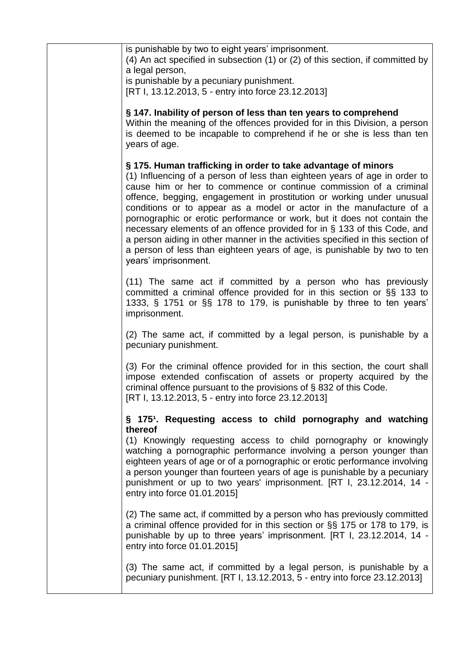| is punishable by two to eight years' imprisonment.<br>(4) An act specified in subsection (1) or (2) of this section, if committed by<br>a legal person,                                                                                                                                                                                                                                                                                                                                                                                                                                                                                                                                                       |
|---------------------------------------------------------------------------------------------------------------------------------------------------------------------------------------------------------------------------------------------------------------------------------------------------------------------------------------------------------------------------------------------------------------------------------------------------------------------------------------------------------------------------------------------------------------------------------------------------------------------------------------------------------------------------------------------------------------|
| is punishable by a pecuniary punishment.<br>[RT I, 13.12.2013, 5 - entry into force 23.12.2013]                                                                                                                                                                                                                                                                                                                                                                                                                                                                                                                                                                                                               |
| § 147. Inability of person of less than ten years to comprehend<br>Within the meaning of the offences provided for in this Division, a person<br>is deemed to be incapable to comprehend if he or she is less than ten<br>years of age.                                                                                                                                                                                                                                                                                                                                                                                                                                                                       |
| § 175. Human trafficking in order to take advantage of minors<br>(1) Influencing of a person of less than eighteen years of age in order to<br>cause him or her to commence or continue commission of a criminal<br>offence, begging, engagement in prostitution or working under unusual<br>conditions or to appear as a model or actor in the manufacture of a<br>pornographic or erotic performance or work, but it does not contain the<br>necessary elements of an offence provided for in § 133 of this Code, and<br>a person aiding in other manner in the activities specified in this section of<br>a person of less than eighteen years of age, is punishable by two to ten<br>years' imprisonment. |
| (11) The same act if committed by a person who has previously<br>committed a criminal offence provided for in this section or §§ 133 to<br>1333, § 1751 or §§ 178 to 179, is punishable by three to ten years'<br>imprisonment.                                                                                                                                                                                                                                                                                                                                                                                                                                                                               |
| (2) The same act, if committed by a legal person, is punishable by a<br>pecuniary punishment.                                                                                                                                                                                                                                                                                                                                                                                                                                                                                                                                                                                                                 |
| (3) For the criminal offence provided for in this section, the court shall<br>impose extended confiscation of assets or property acquired by the<br>criminal offence pursuant to the provisions of § 832 of this Code.<br>[RT I, 13.12.2013, 5 - entry into force 23.12.2013]                                                                                                                                                                                                                                                                                                                                                                                                                                 |
| § 175 <sup>1</sup> . Requesting access to child pornography and watching                                                                                                                                                                                                                                                                                                                                                                                                                                                                                                                                                                                                                                      |
| thereof<br>(1) Knowingly requesting access to child pornography or knowingly<br>watching a pornographic performance involving a person younger than<br>eighteen years of age or of a pornographic or erotic performance involving<br>a person younger than fourteen years of age is punishable by a pecuniary<br>punishment or up to two years' imprisonment. [RT I, 23.12.2014, 14 -<br>entry into force 01.01.2015]                                                                                                                                                                                                                                                                                         |
| (2) The same act, if committed by a person who has previously committed<br>a criminal offence provided for in this section or §§ 175 or 178 to 179, is<br>punishable by up to three years' imprisonment. [RT I, 23.12.2014, 14 -<br>entry into force 01.01.2015]                                                                                                                                                                                                                                                                                                                                                                                                                                              |
| (3) The same act, if committed by a legal person, is punishable by a<br>pecuniary punishment. [RT I, 13.12.2013, 5 - entry into force 23.12.2013]                                                                                                                                                                                                                                                                                                                                                                                                                                                                                                                                                             |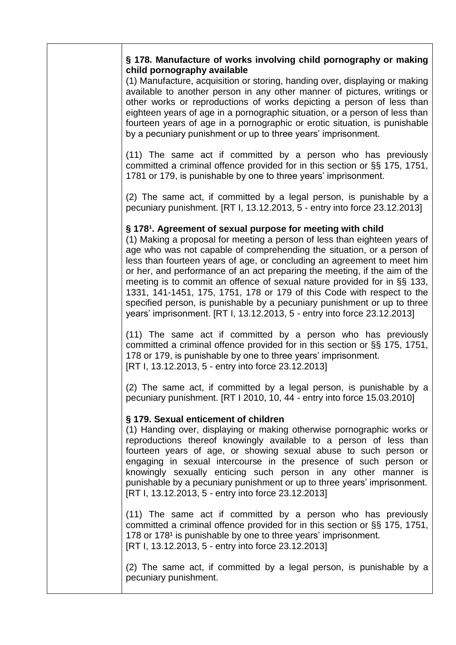| § 178. Manufacture of works involving child pornography or making |  |  |
|-------------------------------------------------------------------|--|--|
| child pornography available                                       |  |  |

(1) Manufacture, acquisition or storing, handing over, displaying or making available to another person in any other manner of pictures, writings or other works or reproductions of works depicting a person of less than eighteen years of age in a pornographic situation, or a person of less than fourteen years of age in a pornographic or erotic situation, is punishable by a pecuniary punishment or up to three years' imprisonment.

(11) The same act if committed by a person who has previously committed a criminal offence provided for in this section or §§ 175, 1751, 1781 or 179, is punishable by one to three years' imprisonment.

(2) The same act, if committed by a legal person, is punishable by a pecuniary punishment. [RT I, 13.12.2013, 5 - entry into force 23.12.2013]

## § 178<sup>1</sup>. Agreement of sexual purpose for meeting with child

(1) Making a proposal for meeting a person of less than eighteen years of age who was not capable of comprehending the situation, or a person of less than fourteen years of age, or concluding an agreement to meet him or her, and performance of an act preparing the meeting, if the aim of the meeting is to commit an offence of sexual nature provided for in §§ 133, 1331, 141-1451, 175, 1751, 178 or 179 of this Code with respect to the specified person, is punishable by a pecuniary punishment or up to three years' imprisonment. [RT I, 13.12.2013, 5 - entry into force 23.12.2013]

(11) The same act if committed by a person who has previously committed a criminal offence provided for in this section or §§ 175, 1751, 178 or 179, is punishable by one to three years' imprisonment. [RT I, 13.12.2013, 5 - entry into force 23.12.2013]

(2) The same act, if committed by a legal person, is punishable by a pecuniary punishment. [RT I 2010, 10, 44 - entry into force 15.03.2010]

## **§ 179. Sexual enticement of children**

(1) Handing over, displaying or making otherwise pornographic works or reproductions thereof knowingly available to a person of less than fourteen years of age, or showing sexual abuse to such person or engaging in sexual intercourse in the presence of such person or knowingly sexually enticing such person in any other manner is punishable by a pecuniary punishment or up to three years' imprisonment. [RT I, 13.12.2013, 5 - entry into force 23.12.2013]

(11) The same act if committed by a person who has previously committed a criminal offence provided for in this section or §§ 175, 1751, 178 or 178<sup>1</sup> is punishable by one to three years' imprisonment. [RT I, 13.12.2013, 5 - entry into force 23.12.2013]

(2) The same act, if committed by a legal person, is punishable by a pecuniary punishment.